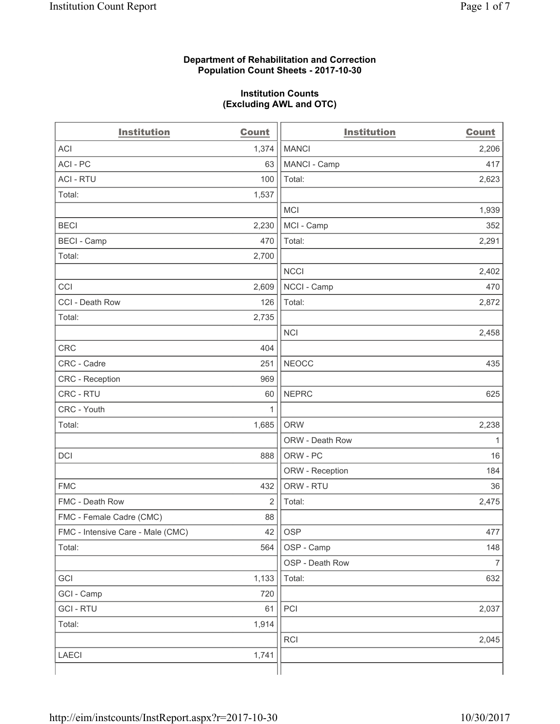### **Department of Rehabilitation and Correction Population Count Sheets - 2017-10-30**

#### **Institution Counts (Excluding AWL and OTC)**

| <b>Institution</b>                | <b>Count</b>   | <b>Institution</b> | <b>Count</b>   |
|-----------------------------------|----------------|--------------------|----------------|
| <b>ACI</b>                        | 1,374          | <b>MANCI</b>       | 2,206          |
| ACI-PC                            | 63             | MANCI - Camp       | 417            |
| <b>ACI - RTU</b>                  | 100            | Total:             | 2,623          |
| Total:                            | 1,537          |                    |                |
|                                   |                | <b>MCI</b>         | 1,939          |
| <b>BECI</b>                       | 2,230          | MCI - Camp         | 352            |
| <b>BECI</b> - Camp                | 470            | Total:             | 2,291          |
| Total:                            | 2,700          |                    |                |
|                                   |                | <b>NCCI</b>        | 2,402          |
| CCI                               | 2,609          | NCCI - Camp        | 470            |
| CCI - Death Row                   | 126            | Total:             | 2,872          |
| Total:                            | 2,735          |                    |                |
|                                   |                | <b>NCI</b>         | 2,458          |
| <b>CRC</b>                        | 404            |                    |                |
| CRC - Cadre                       | 251            | <b>NEOCC</b>       | 435            |
| CRC - Reception                   | 969            |                    |                |
| CRC - RTU                         | 60             | <b>NEPRC</b>       | 625            |
| CRC - Youth                       | 1              |                    |                |
| Total:                            | 1,685          | <b>ORW</b>         | 2,238          |
|                                   |                | ORW - Death Row    | 1              |
| DCI                               | 888            | ORW - PC           | 16             |
|                                   |                | ORW - Reception    | 184            |
| <b>FMC</b>                        | 432            | ORW - RTU          | 36             |
| FMC - Death Row                   | $\overline{2}$ | Total:             | 2,475          |
| FMC - Female Cadre (CMC)          | 88             |                    |                |
| FMC - Intensive Care - Male (CMC) | 42             | OSP                | 477            |
| Total:                            | 564            | OSP - Camp         | 148            |
|                                   |                | OSP - Death Row    | $\overline{7}$ |
| GCI                               | 1,133          | Total:             | 632            |
| GCI - Camp                        | 720            |                    |                |
| <b>GCI-RTU</b>                    | 61             | PCI                | 2,037          |
| Total:                            | 1,914          |                    |                |
|                                   |                | RCI                | 2,045          |
| <b>LAECI</b>                      | 1,741          |                    |                |
|                                   |                |                    |                |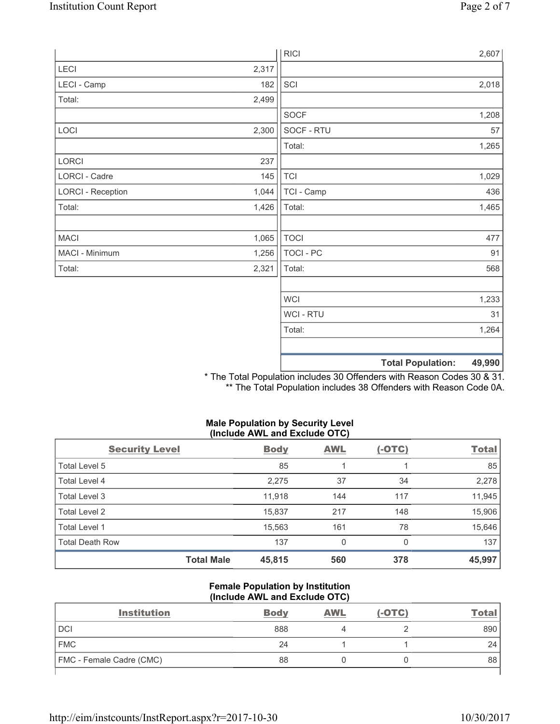|                          |       | <b>RICI</b> | 2,607                              |
|--------------------------|-------|-------------|------------------------------------|
| LECI                     | 2,317 |             |                                    |
| LECI - Camp              | 182   | SCI         | 2,018                              |
| Total:                   | 2,499 |             |                                    |
|                          |       | <b>SOCF</b> | 1,208                              |
| LOCI                     | 2,300 | SOCF - RTU  | 57                                 |
|                          |       | Total:      | 1,265                              |
| LORCI                    | 237   |             |                                    |
| LORCI - Cadre            | 145   | <b>TCI</b>  | 1,029                              |
| <b>LORCI - Reception</b> | 1,044 | TCI - Camp  | 436                                |
| Total:                   | 1,426 | Total:      | 1,465                              |
|                          |       |             |                                    |
| <b>MACI</b>              | 1,065 | <b>TOCI</b> | 477                                |
| MACI - Minimum           | 1,256 | TOCI - PC   | 91                                 |
| Total:                   | 2,321 | Total:      | 568                                |
|                          |       |             |                                    |
|                          |       | <b>WCI</b>  | 1,233                              |
|                          |       | WCI - RTU   | 31                                 |
|                          |       | Total:      | 1,264                              |
|                          |       |             |                                    |
|                          |       |             | <b>Total Population:</b><br>49,990 |

\* The Total Population includes 30 Offenders with Reason Codes 30 & 31. \*\* The Total Population includes 38 Offenders with Reason Code 0A.

# **Male Population by Security Level (Include AWL and Exclude OTC)**

| <b>Security Level</b>  |                   | <b>Body</b> | <b>AWL</b> | $(-OTC)$ | <b>Total</b> |
|------------------------|-------------------|-------------|------------|----------|--------------|
| Total Level 5          |                   | 85          |            |          | 85           |
| Total Level 4          |                   | 2,275       | 37         | 34       | 2,278        |
| Total Level 3          |                   | 11.918      | 144        | 117      | 11,945       |
| Total Level 2          |                   | 15,837      | 217        | 148      | 15,906       |
| Total Level 1          |                   | 15,563      | 161        | 78       | 15,646       |
| <b>Total Death Row</b> |                   | 137         | 0          | 0        | 137          |
|                        | <b>Total Male</b> | 45,815      | 560        | 378      | 45,997       |

### **Female Population by Institution (Include AWL and Exclude OTC)**

| <b>Institution</b>       | <b>Body</b> | <b>AWL</b> | $(-OTC)$ | Total |
|--------------------------|-------------|------------|----------|-------|
| <b>DCI</b>               | 888         |            |          | 890   |
| <b>FMC</b>               | 24          |            |          | 24    |
| FMC - Female Cadre (CMC) | 88          |            |          | 88    |
|                          |             |            |          |       |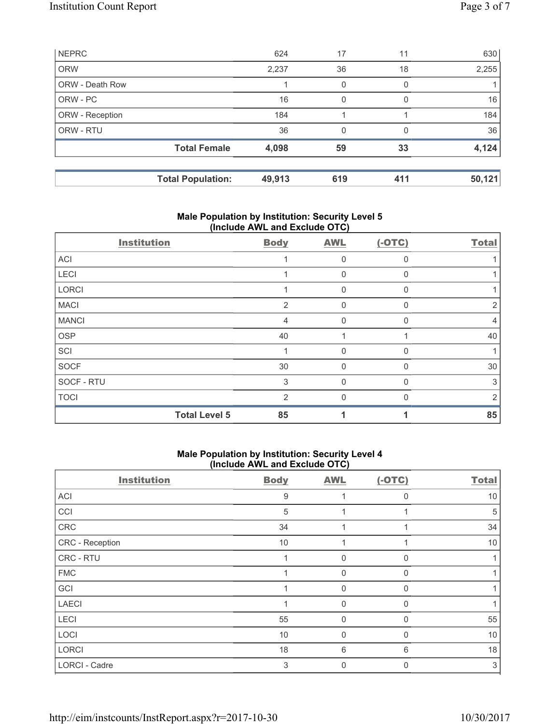| <b>NEPRC</b>    |                          | 624    | 17  | 11       | 630    |
|-----------------|--------------------------|--------|-----|----------|--------|
| <b>ORW</b>      |                          | 2,237  | 36  | 18       | 2,255  |
| ORW - Death Row |                          |        | 0   | 0        |        |
| ORW - PC        |                          | 16     | 0   | $\Omega$ | 16     |
| ORW - Reception |                          | 184    |     |          | 184    |
| ORW - RTU       |                          | 36     | 0   | 0        | 36     |
|                 | <b>Total Female</b>      | 4,098  | 59  | 33       | 4,124  |
|                 | <b>Total Population:</b> | 49,913 | 619 | 411      | 50,121 |

# **Male Population by Institution: Security Level 5 (Include AWL and Exclude OTC)**

| <b>Institution</b>   | <b>Body</b>    | <b>AWL</b> | $(-OTC)$ | <b>Total</b> |
|----------------------|----------------|------------|----------|--------------|
| ACI                  |                | 0          | 0        |              |
| LECI                 |                | 0          | 0        |              |
| LORCI                |                | $\Omega$   | 0        |              |
| <b>MACI</b>          | $\overline{2}$ | $\Omega$   | 0        | 2            |
| <b>MANCI</b>         | 4              | $\Omega$   | 0        | 4            |
| <b>OSP</b>           | 40             |            |          | 40           |
| SCI                  |                | $\Omega$   | 0        |              |
| SOCF                 | 30             | $\Omega$   | $\Omega$ | 30           |
| SOCF - RTU           | 3              | $\Omega$   | $\Omega$ | 3            |
| <b>TOCI</b>          | $\mathcal{P}$  | ∩          | U        | 2            |
| <b>Total Level 5</b> | 85             |            |          | 85           |

### **Male Population by Institution: Security Level 4 (Include AWL and Exclude OTC)**

| <b>Institution</b> | <b>Body</b> | <b>AWL</b>  | $(-OTC)$     | <b>Total</b> |
|--------------------|-------------|-------------|--------------|--------------|
| ACI                | 9           |             | 0            | 10           |
| CCI                | 5           |             |              | 5            |
| CRC                | 34          |             |              | 34           |
| CRC - Reception    | 10          | 4           |              | 10           |
| CRC - RTU          |             | $\Omega$    | U            |              |
| <b>FMC</b>         |             | $\mathbf 0$ | 0            |              |
| GCI                |             | $\mathbf 0$ | 0            |              |
| <b>LAECI</b>       |             | 0           | 0            |              |
| LECI               | 55          | $\mathbf 0$ | <sup>0</sup> | 55           |
| LOCI               | 10          | $\mathbf 0$ | 0            | 10           |
| LORCI              | 18          | 6           | 6            | 18           |
| LORCI - Cadre      | 3           | $\mathbf 0$ | 0            | 3            |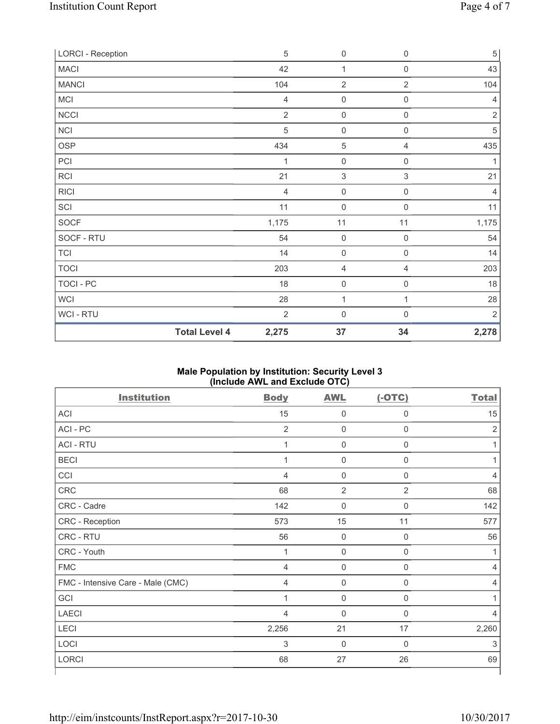| <b>LORCI - Reception</b> |                      | 5              | $\mathsf{O}\xspace$       | $\mathsf 0$         | $\,$ 5 $\,$    |
|--------------------------|----------------------|----------------|---------------------------|---------------------|----------------|
| <b>MACI</b>              |                      | 42             | 1                         | 0                   | 43             |
| <b>MANCI</b>             |                      | 104            | $\overline{2}$            | 2                   | 104            |
| MCI                      |                      | $\overline{4}$ | $\mathsf{O}\xspace$       | 0                   | 4              |
| NCCI                     |                      | $\overline{2}$ | 0                         | $\boldsymbol{0}$    | $\overline{2}$ |
| NCI                      |                      | 5              | $\mathbf 0$               | $\boldsymbol{0}$    | $\sqrt{5}$     |
| <b>OSP</b>               |                      | 434            | 5                         | 4                   | 435            |
| PCI                      |                      | 1              | 0                         | $\mathsf{O}\xspace$ | 1              |
| RCI                      |                      | 21             | $\ensuremath{\mathsf{3}}$ | $\,$ 3 $\,$         | 21             |
| <b>RICI</b>              |                      | $\overline{4}$ | $\mathsf{O}\xspace$       | 0                   | 4              |
| SCI                      |                      | 11             | $\mathsf{O}\xspace$       | $\boldsymbol{0}$    | 11             |
| SOCF                     |                      | 1,175          | 11                        | 11                  | 1,175          |
| SOCF - RTU               |                      | 54             | $\mathsf{O}\xspace$       | $\boldsymbol{0}$    | 54             |
| <b>TCI</b>               |                      | 14             | $\mathsf{O}\xspace$       | $\mathsf 0$         | 14             |
| <b>TOCI</b>              |                      | 203            | 4                         | 4                   | 203            |
| TOCI - PC                |                      | 18             | $\mathbf 0$               | $\mathsf{O}\xspace$ | 18             |
| <b>WCI</b>               |                      | 28             | 1                         | $\mathbf{1}$        | 28             |
| <b>WCI-RTU</b>           |                      | $\overline{2}$ | $\mathbf 0$               | $\mathsf{O}\xspace$ | $\overline{2}$ |
|                          | <b>Total Level 4</b> | 2,275          | 37                        | 34                  | 2,278          |

## **Male Population by Institution: Security Level 3 (Include AWL and Exclude OTC)**

| <b>Institution</b>                | <b>Body</b>    | <b>AWL</b>          | $(-OTC)$       | <b>Total</b>   |
|-----------------------------------|----------------|---------------------|----------------|----------------|
| ACI                               | 15             | $\mathbf 0$         | $\mathbf 0$    | 15             |
| ACI - PC                          | $\overline{2}$ | $\mathbf 0$         | $\mathbf 0$    | $\overline{2}$ |
| <b>ACI - RTU</b>                  | $\mathbf{1}$   | $\mathbf 0$         | $\mathsf 0$    |                |
| <b>BECI</b>                       | $\overline{1}$ | $\mathbf 0$         | $\mathbf 0$    |                |
| CCI                               | $\overline{4}$ | $\mathsf 0$         | $\mathbf 0$    | 4              |
| CRC                               | 68             | $\overline{2}$      | $\overline{2}$ | 68             |
| CRC - Cadre                       | 142            | $\mathsf 0$         | $\mathbf 0$    | 142            |
| CRC - Reception                   | 573            | 15                  | 11             | 577            |
| CRC - RTU                         | 56             | $\mathbf 0$         | $\mathbf 0$    | 56             |
| CRC - Youth                       | 1              | $\mathbf 0$         | $\mathbf 0$    | 1              |
| <b>FMC</b>                        | $\overline{4}$ | $\mathbf 0$         | $\mathbf 0$    | 4              |
| FMC - Intensive Care - Male (CMC) | $\overline{4}$ | $\mathsf{O}\xspace$ | $\mathbf 0$    | 4              |
| GCI                               | 1              | $\mathsf 0$         | $\mathbf 0$    |                |
| <b>LAECI</b>                      | 4              | $\mathsf 0$         | $\mathbf 0$    | 4              |
| LECI                              | 2,256          | 21                  | 17             | 2,260          |
| LOCI                              | 3              | $\mathbf 0$         | $\Omega$       | 3              |
| <b>LORCI</b>                      | 68             | 27                  | 26             | 69             |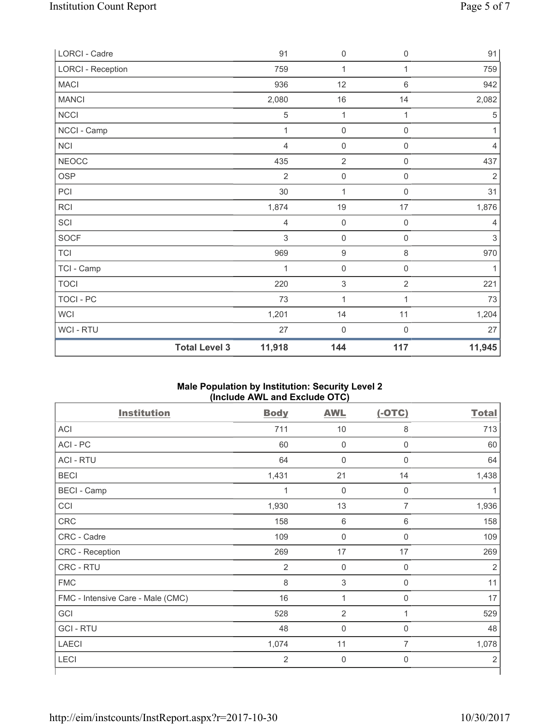| LORCI - Cadre            |                      | 91             | $\mathsf{O}\xspace$       | $\mathsf 0$         | 91             |
|--------------------------|----------------------|----------------|---------------------------|---------------------|----------------|
| <b>LORCI - Reception</b> |                      | 759            | $\mathbf{1}$              | $\mathbf{1}$        | 759            |
| <b>MACI</b>              |                      | 936            | 12                        | $\,6\,$             | 942            |
| <b>MANCI</b>             |                      | 2,080          | 16                        | 14                  | 2,082          |
| <b>NCCI</b>              |                      | 5              | $\mathbf 1$               | 1                   | $\sqrt{5}$     |
| NCCI - Camp              |                      | 1              | $\mathsf 0$               | $\mathsf{O}\xspace$ | 1              |
| <b>NCI</b>               |                      | 4              | $\mathsf{O}\xspace$       | $\mathsf{O}\xspace$ | $\overline{4}$ |
| <b>NEOCC</b>             |                      | 435            | $\overline{2}$            | $\mathsf{O}\xspace$ | 437            |
| <b>OSP</b>               |                      | $\overline{2}$ | $\mathsf{O}\xspace$       | $\mathsf{O}\xspace$ | $\sqrt{2}$     |
| PCI                      |                      | 30             | $\mathbf{1}$              | $\mathsf{O}\xspace$ | 31             |
| RCI                      |                      | 1,874          | 19                        | 17                  | 1,876          |
| SCI                      |                      | $\overline{4}$ | $\mathsf{O}\xspace$       | $\mathsf{O}\xspace$ | $\overline{4}$ |
| SOCF                     |                      | 3              | $\mathsf{O}\xspace$       | $\mathsf{O}\xspace$ | $\mathfrak{Z}$ |
| <b>TCI</b>               |                      | 969            | $\boldsymbol{9}$          | $\,8\,$             | 970            |
| TCI - Camp               |                      | 1              | $\mathsf{O}\xspace$       | $\mathsf{O}\xspace$ | 1              |
| <b>TOCI</b>              |                      | 220            | $\ensuremath{\mathsf{3}}$ | $\overline{2}$      | 221            |
| <b>TOCI - PC</b>         |                      | 73             | $\mathbf 1$               | 1                   | 73             |
| <b>WCI</b>               |                      | 1,201          | 14                        | 11                  | 1,204          |
| WCI - RTU                |                      | 27             | $\mathsf{O}\xspace$       | $\mathbf 0$         | 27             |
|                          | <b>Total Level 3</b> | 11,918         | 144                       | 117                 | 11,945         |

### **Male Population by Institution: Security Level 2 (Include AWL and Exclude OTC)**

| <b>Body</b>    | <b>AWL</b>          | $(-OTC)$            | <b>Total</b>   |
|----------------|---------------------|---------------------|----------------|
| 711            | 10                  | 8                   | 713            |
| 60             | $\mathbf 0$         | $\mathsf{O}\xspace$ | 60             |
| 64             | $\mathbf 0$         | $\mathbf 0$         | 64             |
| 1,431          | 21                  | 14                  | 1,438          |
| 1              | $\mathbf 0$         | $\mathbf 0$         | 1              |
| 1,930          | 13                  | $\overline{7}$      | 1,936          |
| 158            | $\,6\,$             | $6\,$               | 158            |
| 109            | $\mathbf 0$         | $\mathbf 0$         | 109            |
| 269            | 17                  | 17                  | 269            |
| 2              | $\mathsf{O}\xspace$ | $\mathbf 0$         | $\overline{2}$ |
| 8              | $\mathsf 3$         | $\mathbf 0$         | 11             |
| 16             | 1                   | 0                   | 17             |
| 528            | $\overline{2}$      | 1                   | 529            |
| 48             | $\mathbf 0$         | $\mathbf 0$         | 48             |
| 1,074          | 11                  | $\overline{7}$      | 1,078          |
| $\overline{2}$ | $\mathbf 0$         | $\mathbf 0$         | $\overline{2}$ |
|                |                     |                     |                |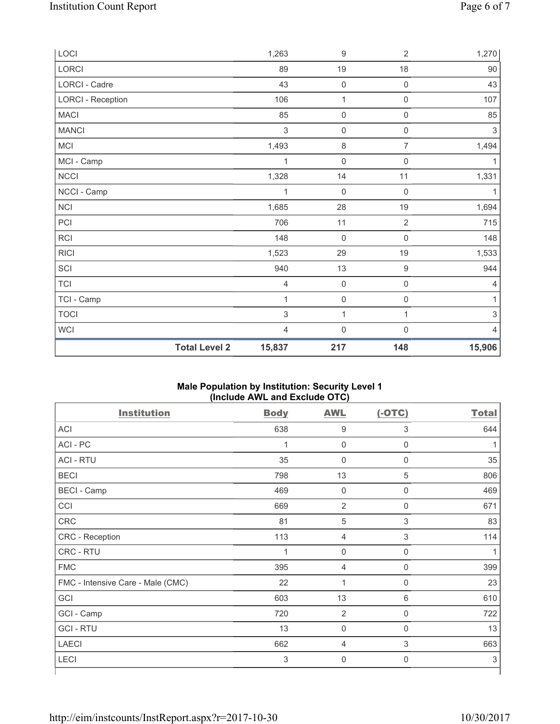| LOCI                     |                      | 1,263          | $\boldsymbol{9}$    | $\overline{2}$      | 1,270          |
|--------------------------|----------------------|----------------|---------------------|---------------------|----------------|
| LORCI                    |                      | 89             | 19                  | 18                  | 90             |
| LORCI - Cadre            |                      | 43             | $\mathsf{O}\xspace$ | $\mathsf{O}\xspace$ | 43             |
| <b>LORCI - Reception</b> |                      | 106            | $\mathbf{1}$        | $\mathsf{O}\xspace$ | 107            |
| <b>MACI</b>              |                      | 85             | $\mathbf 0$         | $\mathsf{O}\xspace$ | 85             |
| <b>MANCI</b>             |                      | $\mathsf 3$    | $\mathsf{O}\xspace$ | $\mathsf{O}\xspace$ | $\sqrt{3}$     |
| MCI                      |                      | 1,493          | $\,8\,$             | $\overline{7}$      | 1,494          |
| MCI - Camp               |                      | 1              | $\mathbf 0$         | 0                   | 1              |
| NCCI                     |                      | 1,328          | 14                  | 11                  | 1,331          |
| NCCI - Camp              |                      | 1              | $\mathsf{O}\xspace$ | 0                   | 1              |
| NCI                      |                      | 1,685          | 28                  | 19                  | 1,694          |
| PCI                      |                      | 706            | 11                  | $\overline{2}$      | 715            |
| RCI                      |                      | 148            | $\mathsf{O}\xspace$ | $\mathsf{O}\xspace$ | 148            |
| <b>RICI</b>              |                      | 1,523          | 29                  | $19$                | 1,533          |
| SCI                      |                      | 940            | $13\,$              | $\hbox{9}$          | 944            |
| <b>TCI</b>               |                      | $\overline{4}$ | $\mathsf{O}\xspace$ | $\mathsf{O}\xspace$ | $\overline{4}$ |
| TCI - Camp               |                      | 1              | $\mathbf 0$         | $\mathsf{O}\xspace$ | 1              |
| <b>TOCI</b>              |                      | $\mathsf 3$    | 1                   | 1                   | $\sqrt{3}$     |
| <b>WCI</b>               |                      | $\overline{4}$ | $\mathsf{O}\xspace$ | $\mathsf 0$         | $\overline{4}$ |
|                          | <b>Total Level 2</b> | 15,837         | 217                 | 148                 | 15,906         |

### **Male Population by Institution: Security Level 1 (Include AWL and Exclude OTC)**

| <b>Institution</b>                | <b>Body</b>    | <b>AWL</b>     | $(-OTC)$    | <b>Total</b> |
|-----------------------------------|----------------|----------------|-------------|--------------|
| <b>ACI</b>                        | 638            | 9              | 3           | 644          |
| ACI - PC                          | 1              | $\mathbf 0$    | $\mathbf 0$ |              |
| <b>ACI - RTU</b>                  | 35             | $\mathbf 0$    | $\mathbf 0$ | 35           |
| <b>BECI</b>                       | 798            | 13             | 5           | 806          |
| <b>BECI</b> - Camp                | 469            | $\mathbf 0$    | $\mathbf 0$ | 469          |
| CCI                               | 669            | $\overline{2}$ | 0           | 671          |
| CRC                               | 81             | 5              | 3           | 83           |
| CRC - Reception                   | 113            | $\overline{4}$ | $\mathsf 3$ | 114          |
| CRC - RTU                         | $\overline{1}$ | $\mathbf 0$    | $\mathbf 0$ |              |
| <b>FMC</b>                        | 395            | $\overline{4}$ | 0           | 399          |
| FMC - Intensive Care - Male (CMC) | 22             | 1              | $\mathbf 0$ | 23           |
| GCI                               | 603            | 13             | 6           | 610          |
| GCI - Camp                        | 720            | $\overline{2}$ | $\mathbf 0$ | 722          |
| <b>GCI-RTU</b>                    | 13             | $\mathbf 0$    | $\mathbf 0$ | 13           |
| <b>LAECI</b>                      | 662            | $\overline{4}$ | 3           | 663          |
| <b>LECI</b>                       | 3              | $\mathsf{0}$   | $\mathbf 0$ | 3            |
|                                   |                |                |             |              |